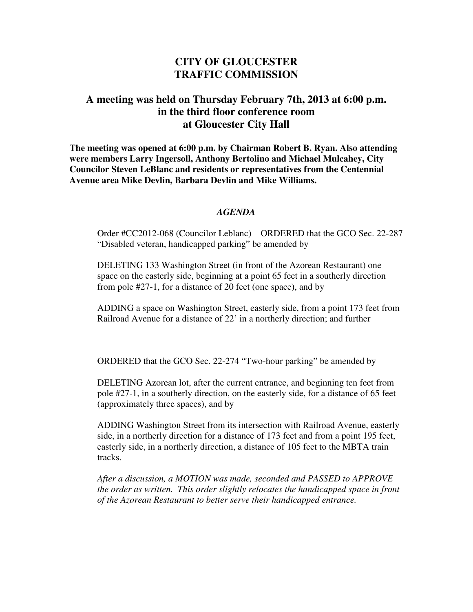## **CITY OF GLOUCESTER TRAFFIC COMMISSION**

## **A meeting was held on Thursday February 7th, 2013 at 6:00 p.m. in the third floor conference room at Gloucester City Hall**

**The meeting was opened at 6:00 p.m. by Chairman Robert B. Ryan. Also attending were members Larry Ingersoll, Anthony Bertolino and Michael Mulcahey, City Councilor Steven LeBlanc and residents or representatives from the Centennial Avenue area Mike Devlin, Barbara Devlin and Mike Williams.** 

## *AGENDA*

Order #CC2012-068 (Councilor Leblanc) ORDERED that the GCO Sec. 22-287 "Disabled veteran, handicapped parking" be amended by

DELETING 133 Washington Street (in front of the Azorean Restaurant) one space on the easterly side, beginning at a point 65 feet in a southerly direction from pole #27-1, for a distance of 20 feet (one space), and by

ADDING a space on Washington Street, easterly side, from a point 173 feet from Railroad Avenue for a distance of 22' in a northerly direction; and further

ORDERED that the GCO Sec. 22-274 "Two-hour parking" be amended by

DELETING Azorean lot, after the current entrance, and beginning ten feet from pole #27-1, in a southerly direction, on the easterly side, for a distance of 65 feet (approximately three spaces), and by

ADDING Washington Street from its intersection with Railroad Avenue, easterly side, in a northerly direction for a distance of 173 feet and from a point 195 feet, easterly side, in a northerly direction, a distance of 105 feet to the MBTA train tracks.

*After a discussion, a MOTION was made, seconded and PASSED to APPROVE the order as written. This order slightly relocates the handicapped space in front of the Azorean Restaurant to better serve their handicapped entrance.*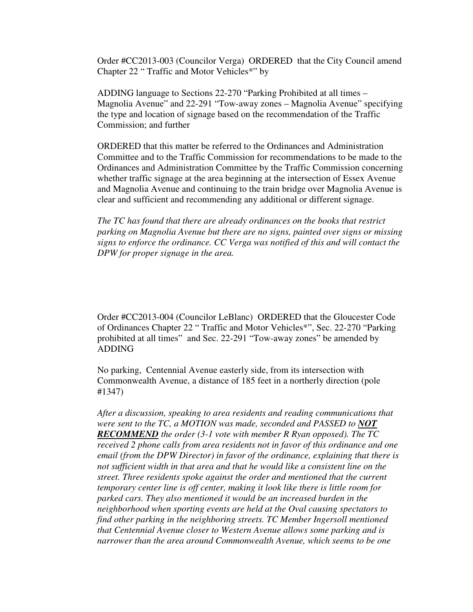Order #CC2013-003 (Councilor Verga) ORDERED that the City Council amend Chapter 22 " Traffic and Motor Vehicles\*" by

ADDING language to Sections 22-270 "Parking Prohibited at all times – Magnolia Avenue" and 22-291 "Tow-away zones – Magnolia Avenue" specifying the type and location of signage based on the recommendation of the Traffic Commission; and further

ORDERED that this matter be referred to the Ordinances and Administration Committee and to the Traffic Commission for recommendations to be made to the Ordinances and Administration Committee by the Traffic Commission concerning whether traffic signage at the area beginning at the intersection of Essex Avenue and Magnolia Avenue and continuing to the train bridge over Magnolia Avenue is clear and sufficient and recommending any additional or different signage.

*The TC has found that there are already ordinances on the books that restrict parking on Magnolia Avenue but there are no signs, painted over signs or missing signs to enforce the ordinance. CC Verga was notified of this and will contact the DPW for proper signage in the area.* 

Order #CC2013-004 (Councilor LeBlanc) ORDERED that the Gloucester Code of Ordinances Chapter 22 " Traffic and Motor Vehicles\*", Sec. 22-270 "Parking prohibited at all times" and Sec. 22-291 "Tow-away zones" be amended by ADDING

No parking, Centennial Avenue easterly side, from its intersection with Commonwealth Avenue, a distance of 185 feet in a northerly direction (pole #1347)

*After a discussion, speaking to area residents and reading communications that were sent to the TC, a MOTION was made, seconded and PASSED to NOT RECOMMEND the order (3-1 vote with member R Ryan opposed). The TC received 2 phone calls from area residents not in favor of this ordinance and one email (from the DPW Director) in favor of the ordinance, explaining that there is not sufficient width in that area and that he would like a consistent line on the street. Three residents spoke against the order and mentioned that the current temporary center line is off center, making it look like there is little room for parked cars. They also mentioned it would be an increased burden in the neighborhood when sporting events are held at the Oval causing spectators to find other parking in the neighboring streets. TC Member Ingersoll mentioned that Centennial Avenue closer to Western Avenue allows some parking and is narrower than the area around Commonwealth Avenue, which seems to be one*